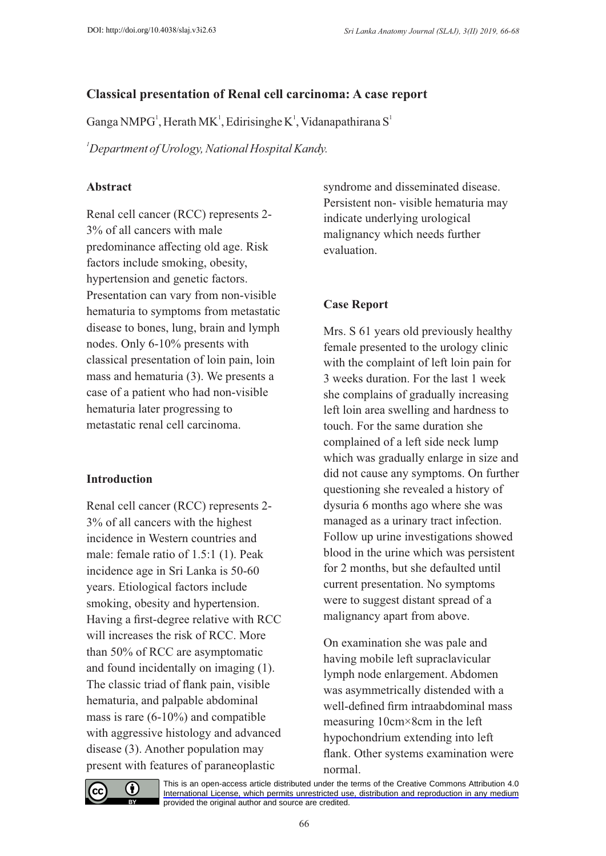# **Classical presentation of Renal cell carcinoma: A case report**

Ganga NMPG<sup>1</sup>, Herath MK<sup>1</sup>, Edirisinghe K<sup>1</sup>, Vidanapathirana S<sup>1</sup>

*<sup>1</sup>Department of Urology, National Hospital Kandy.*

# **Abstract**

Renal cell cancer (RCC) represents 2- 3% of all cancers with male predominance affecting old age. Risk factors include smoking, obesity, hypertension and genetic factors. Presentation can vary from non-visible hematuria to symptoms from metastatic disease to bones, lung, brain and lymph nodes. Only 6-10% presents with classical presentation of loin pain, loin mass and hematuria (3). We presents a case of a patient who had non-visible hematuria later progressing to metastatic renal cell carcinoma.

#### **Introduction**

Renal cell cancer (RCC) represents 2- 3% of all cancers with the highest incidence in Western countries and male: female ratio of 1.5:1 (1). Peak incidence age in Sri Lanka is 50-60 years. Etiological factors include smoking, obesity and hypertension. Having a first-degree relative with RCC will increases the risk of RCC. More than 50% of RCC are asymptomatic and found incidentally on imaging (1). The classic triad of flank pain, visible hematuria, and palpable abdominal mass is rare (6-10%) and compatible with aggressive histology and advanced disease (3). Another population may present with features of paraneoplastic

syndrome and disseminated disease. Persistent non- visible hematuria may indicate underlying urological malignancy which needs further evaluation.

## **Case Report**

Mrs. S 61 years old previously healthy female presented to the urology clinic with the complaint of left loin pain for 3 weeks duration. For the last 1 week she complains of gradually increasing left loin area swelling and hardness to touch. For the same duration she complained of a left side neck lump which was gradually enlarge in size and did not cause any symptoms. On further questioning she revealed a history of dysuria 6 months ago where she was managed as a urinary tract infection. Follow up urine investigations showed blood in the urine which was persistent for 2 months, but she defaulted until current presentation. No symptoms were to suggest distant spread of a malignancy apart from above.

On examination she was pale and having mobile left supraclavicular lymph node enlargement. Abdomen was asymmetrically distended with a well-defined firm intraabdominal mass measuring 10cm×8cm in the left hypochondrium extending into left flank. Other systems examination were normal.



[This is an open-access article distributed under the terms of the Creative Commons Attribution 4.0](https://creativecommons.org/licenses/by/4.0/)  International License, which permits unrestricted use, distribution and reproduction in any medium provided the original author and source are credited.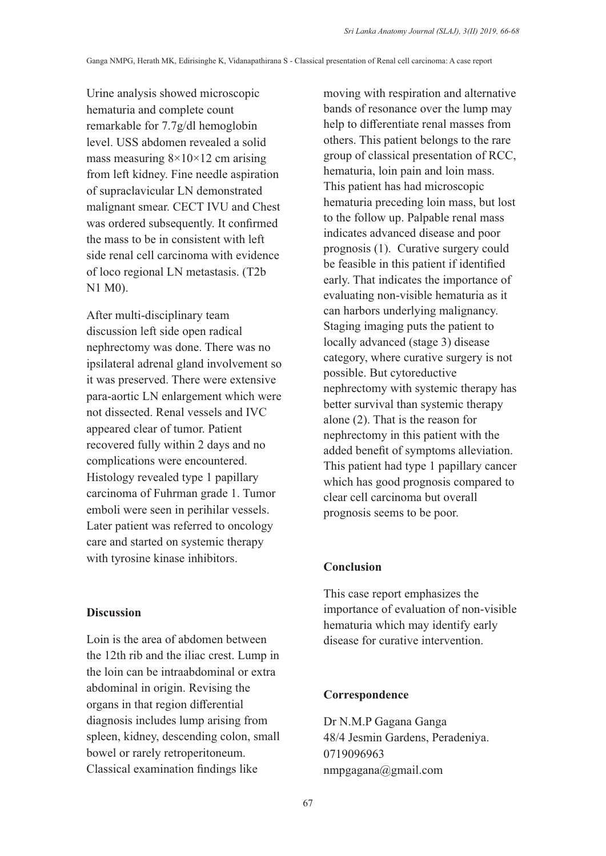Urine analysis showed microscopic hematuria and complete count remarkable for 7.7g/dl hemoglobin level. USS abdomen revealed a solid mass measuring  $8\times10\times12$  cm arising from left kidney. Fine needle aspiration of supraclavicular LN demonstrated malignant smear. CECT IVU and Chest was ordered subsequently. It confirmed the mass to be in consistent with left side renal cell carcinoma with evidence of loco regional LN metastasis. (T2b N1 M0).

After multi-disciplinary team discussion left side open radical nephrectomy was done. There was no ipsilateral adrenal gland involvement so it was preserved. There were extensive para-aortic LN enlargement which were not dissected. Renal vessels and IVC appeared clear of tumor. Patient recovered fully within 2 days and no complications were encountered. Histology revealed type 1 papillary carcinoma of Fuhrman grade 1. Tumor emboli were seen in perihilar vessels. Later patient was referred to oncology care and started on systemic therapy with tyrosine kinase inhibitors.

#### **Discussion**

Loin is the area of abdomen between the 12th rib and the iliac crest. Lump in the loin can be intraabdominal or extra abdominal in origin. Revising the organs in that region differential diagnosis includes lump arising from spleen, kidney, descending colon, small bowel or rarely retroperitoneum. Classical examination findings like

moving with respiration and alternative bands of resonance over the lump may help to differentiate renal masses from others. This patient belongs to the rare group of classical presentation of RCC, hematuria, loin pain and loin mass. This patient has had microscopic hematuria preceding loin mass, but lost to the follow up. Palpable renal mass indicates advanced disease and poor prognosis (1). Curative surgery could be feasible in this patient if identified early. That indicates the importance of evaluating non-visible hematuria as it can harbors underlying malignancy. Staging imaging puts the patient to locally advanced (stage 3) disease category, where curative surgery is not possible. But cytoreductive nephrectomy with systemic therapy has better survival than systemic therapy alone (2). That is the reason for nephrectomy in this patient with the added benefit of symptoms alleviation. This patient had type 1 papillary cancer which has good prognosis compared to clear cell carcinoma but overall prognosis seems to be poor.

#### **Conclusion**

This case report emphasizes the importance of evaluation of non-visible hematuria which may identify early disease for curative intervention.

# **Correspondence**

Dr N.M.P Gagana Ganga 48/4 Jesmin Gardens, Peradeniya. 0719096963 nmpgagana@gmail.com